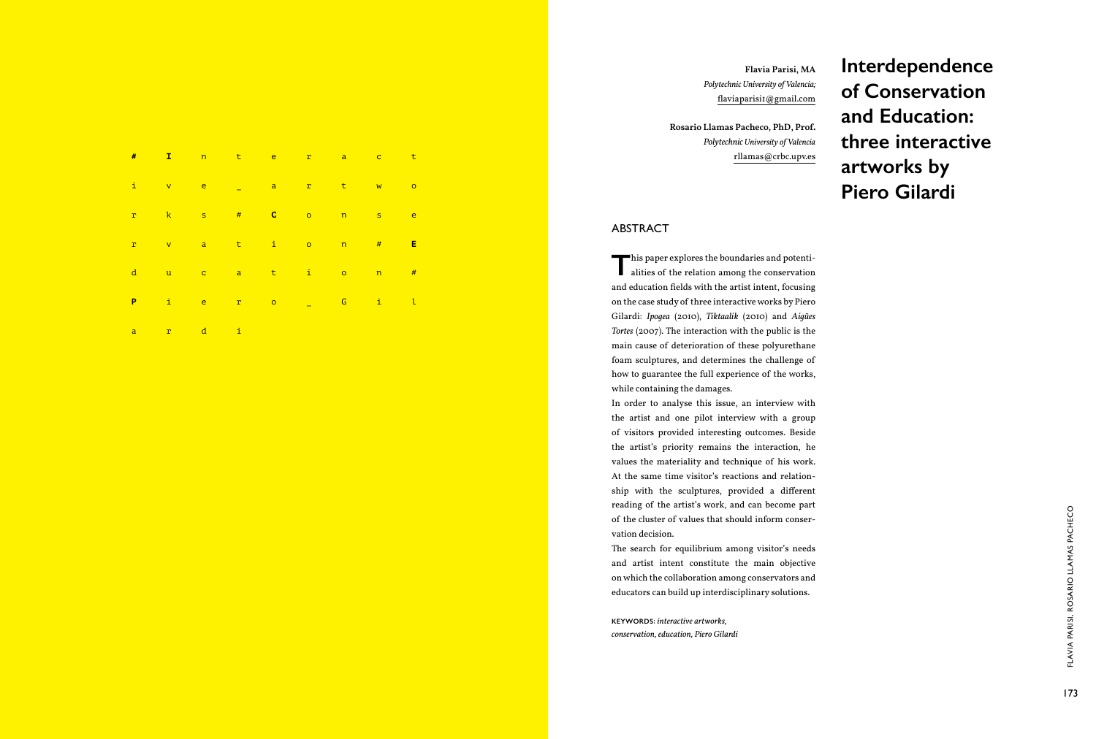

**keywords** : *interactive artworks, conservation, education, Piero Gilardi* **Interdependence of Conservation and Education: three interactive artworks by Piero Gilardi**

**Flavia Parisi, MA** *Polytechnic University of Valencia;* flaviaparisi1@gmail.com

**Rosario Llamas Pacheco, PhD, Prof.**  *Polytechnic University of Valencia* rllamas@crbc.upv.es

## **ABSTRACT**

This paper explores the boundaries and potentialities of the relation among the conservation alities of the relation among the conservation and education fields with the artist intent, focusing on the case study of three interactive works by Piero Gilardi: *Ipogea* (2010), *Tiktaalik* (2010) and *Aigües Tortes* (2007). The interaction with the public is the main cause of deterioration of these polyurethane foam sculptures, and determines the challenge of how to guarantee the full experience of the works, while containing the damages.

For the cluster of values that should inform conservative and section detection of the cluster of values the space of the constraints of the constraints of the small of the small objective and strict interactive term in o The search for equilibrium among visitor's needs and artist intent constitute the main objective on which the collaboration among conservators and educators can build up interdisciplinary solutions.

In order to analyse this issue, an interview with the artist and one pilot interview with a group of visitors provided interesting outcomes. Beside the artist's priority remains the interaction, he values the materiality and technique of his work. At the same time visitor's reactions and relation ship with the sculptures, provided a different reading of the artist's work, and can become part of the cluster of values that should inform conser vation decision.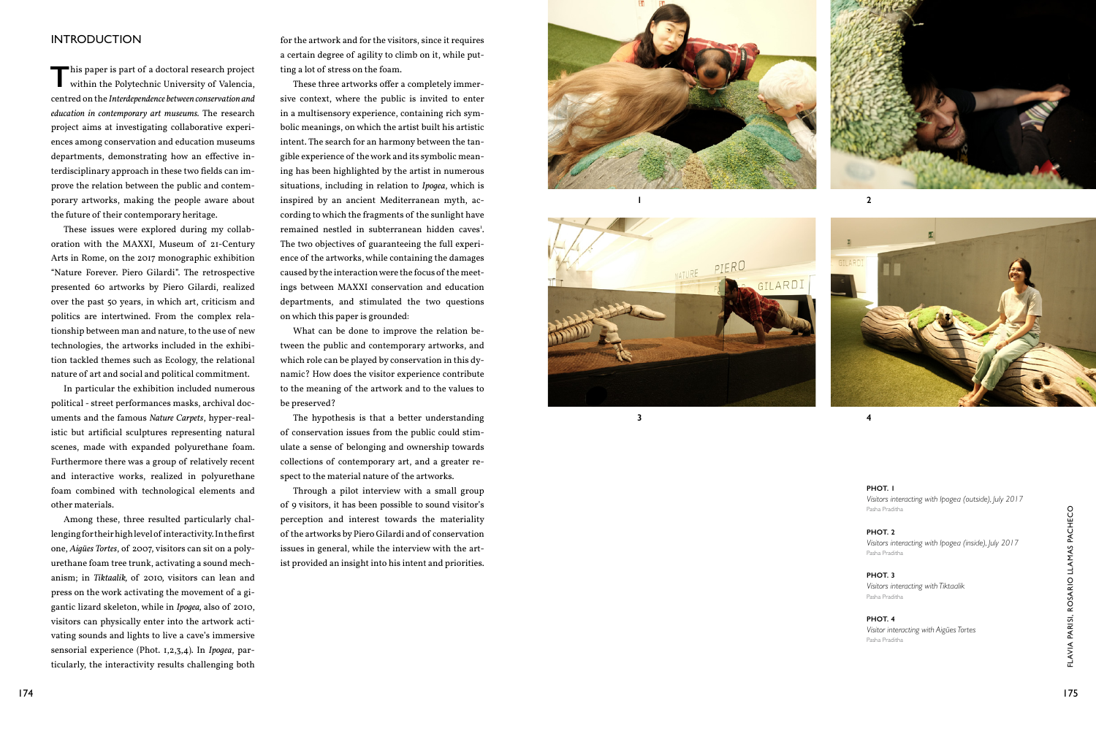## **INTRODUCTI**

This paper is part of a doctoral research project within the Polytechnic University of Valencia, centred on the *Interdependence between conservation and education in contemporary art museums.* The research project aims at investigating collaborative experi ences among conservation and education museums departments, demonstrating how an effective in terdisciplinary approach in these two fields can im prove the relation between the public and contem porary artworks, making the people aware about the future of their contemporary heritage.

These issues were explored during my collab oration with the MAXXI, Museum of 21-Century Arts in Rome, on the 2017 monographic exhibition "Nature Forever. Piero Gilardi". The retrospective presented 60 artworks by Piero Gilardi, realized over the past 50 years, in which art, criticism and politics are intertwined. From the complex rela tionship between man and nature, to the use of new technologies, the artworks included in the exhibi tion tackled themes such as Ecology, the relational nature of art and social and political commitment.

A mong these, three resulted particularly that are visual interest towards the materiality one of the article and the materiality between the computation one, Aighte Toric, of 2007, Walors can also a poly-<br>
Design for the Among these, three resulted particularly chal lenging for their high level of interactivity. In the first one, *Aigües Tortes*, of 2007, visitors can sit on a poly urethane foam tree trunk, activating a sound mech anism; in *Tiktaalik,* of 2010*,* visitors can lean and press on the work activating the movement of a gi gantic lizard skeleton, while in *Ipogea,* also of 2010, visitors can physically enter into the artwork acti vating sounds and lights to live a cave's immersive sensorial experience (Phot. 1,2,3,4). In *Ipogea*, par ticularly, the interactivity results challenging both

In particular the exhibition included numerous political *-* street performances masks, archival doc uments and the famous *Nature Carpets*, hyper-real istic but artificial sculptures representing natural scenes, made with expanded polyurethane foam. Furthermore there was a group of relatively recent and interactive works, realized in polyurethane foam combined with technological elements and other materials.

for the artwork and for the visitors, since it requires a certain degree of agility to climb on it, while put ting a lot of stress on the foam.

These three artworks offer a completely immer sive context, where the public is invited to enter in a multisensory experience, containing rich sym bolic meanings, on which the artist built his artistic intent. The search for an harmony between the tan gible experience of the work and its symbolic mean ing has been highlighted by the artist in numerous situations, including in relation to *Ipogea*, which is inspired by an ancient Mediterranean myth, ac cording to which the fragments of the sunlight have remained nestled in subterranean hidden caves 1 . The two objectives of guaranteeing the full experi ence of the artworks, while containing the damages caused by the interaction were the focus of the meet ings between MAXXI conservation and education departments, and stimulated the two questions on which this paper is grounded:

What can be done to improve the relation be tween the public and contemporary artworks, and which role can be played by conservation in this dy namic? How does the visitor experience contribute to the meaning of the artwork and to the values to be preserved?

The hypothesis is that a better understanding of conservation issues from the public could stim ulate a sense of belonging and ownership towards collections of contemporary art, and a greater re spect to the material nature of the artworks.

Through a pilot interview with a small group of 9 visitors, it has been possible to sound visitor's perception and interest towards the materiality of the artworks by Piero Gilardi and of conservation issues in general, while the interview with the art ist provided an insight into his intent and priorities.





 $\overline{2}$ 



 $\overline{\mathbf{4}}$ 

### **PHOT. 1**

*Visitors interacting with Ipogea (outside), July 2017*  Pasha Praditha

### **PHOT. 3**

*Visitors interacting with Tiktaalik* Pasha Praditha

### **PHOT. 2**

*Visitors interacting with Ipogea (inside), July 2017* Pasha Praditha

### **PHOT. 4**

*Visitor interacting with Aigües Tortes* Pasha Praditha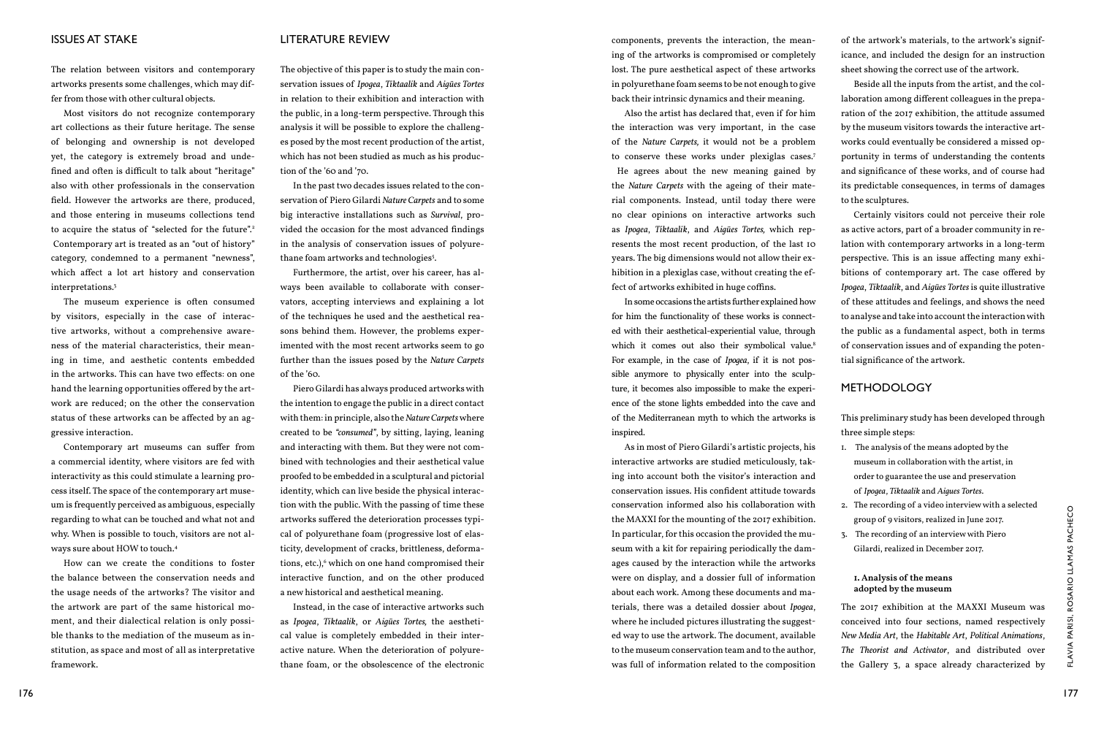## ISSUES AT STAKE

The relation between visitors and contemporary artworks presents some challenges, which may differ from those with other cultural objects.

Most visitors do not recognize contemporary art collections as their future heritage. The sense of belonging and ownership is not developed yet, the category is extremely broad and undefined and often is difficult to talk about "heritage" also with other professionals in the conservation field. However the artworks are there, produced, and those entering in museums collections tend to acquire the status of "selected for the future".<sup>2</sup> Contemporary art is treated as an "out of history" category, condemned to a permanent "newness", which affect a lot art history and conservation interpretations.3

The museum experience is often consumed by visitors, especially in the case of interactive artworks, without a comprehensive awareness of the material characteristics, their meaning in time, and aesthetic contents embedded in the artworks. This can have two effects: on one hand the learning opportunities offered by the artwork are reduced; on the other the conservation status of these artworks can be affected by an aggressive interaction.

In the past two decades issues related to the conservation of Piero Gilardi *Nature Carpets* and to some big interactive installations such as *Survival*, provided the occasion for the most advanced findings in the analysis of conservation issues of polyurethane foam artworks and technologies<sup>s</sup>.

Contemporary art museums can suffer from a commercial identity, where visitors are fed with interactivity as this could stimulate a learning process itself. The space of the contemporary art museum is frequently perceived as ambiguous, especially regarding to what can be touched and what not and why. When is possible to touch, visitors are not always sure about HOW to touch.4

How can we create the conditions to foster the balance between the conservation needs and the usage needs of the artworks? The visitor and the artwork are part of the same historical moment, and their dialectical relation is only possible thanks to the mediation of the museum as institution, as space and most of all as interpretative framework.

### LITERATURE REVIEW

The objective of this paper is to study the main conservation issues of *Ipogea*, *Tiktaalik* and *Aigües Tortes* in relation to their exhibition and interaction with the public, in a long-term perspective. Through this analysis it will be possible to explore the challenges posed by the most recent production of the artist, which has not been studied as much as his production of the '60 and '70.

Furthermore, the artist, over his career, has always been available to collaborate with conservators, accepting interviews and explaining a lot of the techniques he used and the aesthetical reasons behind them. However, the problems experimented with the most recent artworks seem to go further than the issues posed by the *Nature Carpets* of the '60.

Piero Gilardi has always produced artworks with the intention to engage the public in a direct contact with them: in principle, also the *Nature Carpets* where created to be *"consumed"*, by sitting, laying, leaning and interacting with them. But they were not combined with technologies and their aesthetical value proofed to be embedded in a sculptural and pictorial identity, which can live beside the physical interaction with the public. With the passing of time these artworks suffered the deterioration processes typical of polyurethane foam (progressive lost of elasticity, development of cracks, brittleness, deformations, etc.),<sup>6</sup> which on one hand compromised their interactive function, and on the other produced a new historical and aesthetical meaning.

Instead, in the case of interactive artworks such as *Ipogea*, *Tiktaalik*, or *Aigües Tortes,* the aesthetical value is completely embedded in their interactive nature. When the deterioration of polyurethane foam, or the obsolescence of the electronic

<sup>176</sup> <sup>177</sup>Flavia Parisi, Rosario Llamas Pachec As in most of Piero Gilardi's artistic projects, his interactive artworks are studied meticulously, taking into account both the visitor's interaction and conservation issues. His confident attitude towards conservation informed also his collaboration with the MAXXI for the mounting of the 2017 exhibition. In particular, for this occasion the provided the museum with a kit for repairing periodically the damages caused by the interaction while the artworks were on display, and a dossier full of information about each work. Among these documents and materials, there was a detailed dossier about *Ipogea*, where he included pictures illustrating the suggested way to use the artwork. The document, available to the museum conservation team and to the author, was full of information related to the composition museum in collaboration with the artist, in order to guarantee the use and preservation of *Ipogea*, *Tiktaalik* and *Aigues Tortes*. 2. The recording of a video interview with a selected group of 9 visitors, realized in June 2017. 3. The recording of an interview with Piero Gilardi, realized in December 2017. **1. Analysis of the means adopted by the museum** The 2017 exhibition at the MAXXI Museum was conceived into four sections, named respectively *New Media Art*, the *Habitable Art*, *Political Animations*, *The Theorist and Activator*, and distributed over the Gallery 3, a space already characterized by

components, prevents the interaction, the meaning of the artworks is compromised or completely lost. The pure aesthetical aspect of these artworks in polyurethane foam seems to be not enough to give back their intrinsic dynamics and their meaning.

Also the artist has declared that, even if for him the interaction was very important, in the case of the *Nature Carpets,* it would not be a problem to conserve these works under plexiglas cases.7 He agrees about the new meaning gained by the *Nature Carpets* with the ageing of their material components. Instead, until today there were no clear opinions on interactive artworks such as *Ipogea*, *Tiktaalik*, and *Aigües Tortes,* which represents the most recent production, of the last 10 years. The big dimensions would not allow their exhibition in a plexiglas case, without creating the effect of artworks exhibited in huge coffins.

In some occasions the artists further explained how for him the functionality of these works is connected with their aesthetical-experiential value, through which it comes out also their symbolical value.<sup>8</sup> For example, in the case of *Ipogea*, if it is not possible anymore to physically enter into the sculpture, it becomes also impossible to make the experience of the stone lights embedded into the cave and of the Mediterranean myth to which the artworks is inspired.

of the artwork's materials, to the artwork's significance, and included the design for an instruction sheet showing the correct use of the artwork.

Beside all the inputs from the artist, and the collaboration among different colleagues in the preparation of the 2017 exhibition, the attitude assumed by the museum visitors towards the interactive artworks could eventually be considered a missed opportunity in terms of understanding the contents and significance of these works, and of course had its predictable consequences, in terms of damages to the sculptures.

Certainly visitors could not perceive their role as active actors, part of a broader community in relation with contemporary artworks in a long-term perspective. This is an issue affecting many exhibitions of contemporary art. The case offered by *Ipogea*, *Tiktaalik*, and *Aigües Tortes* is quite illustrative of these attitudes and feelings, and shows the need to analyse and take into account the interaction with the public as a fundamental aspect, both in terms of conservation issues and of expanding the potential significance of the artwork.

# METHODOLOGY

This preliminary study has been developed through three simple steps:

- 1. The analysis of the means adopted by the
	-
	-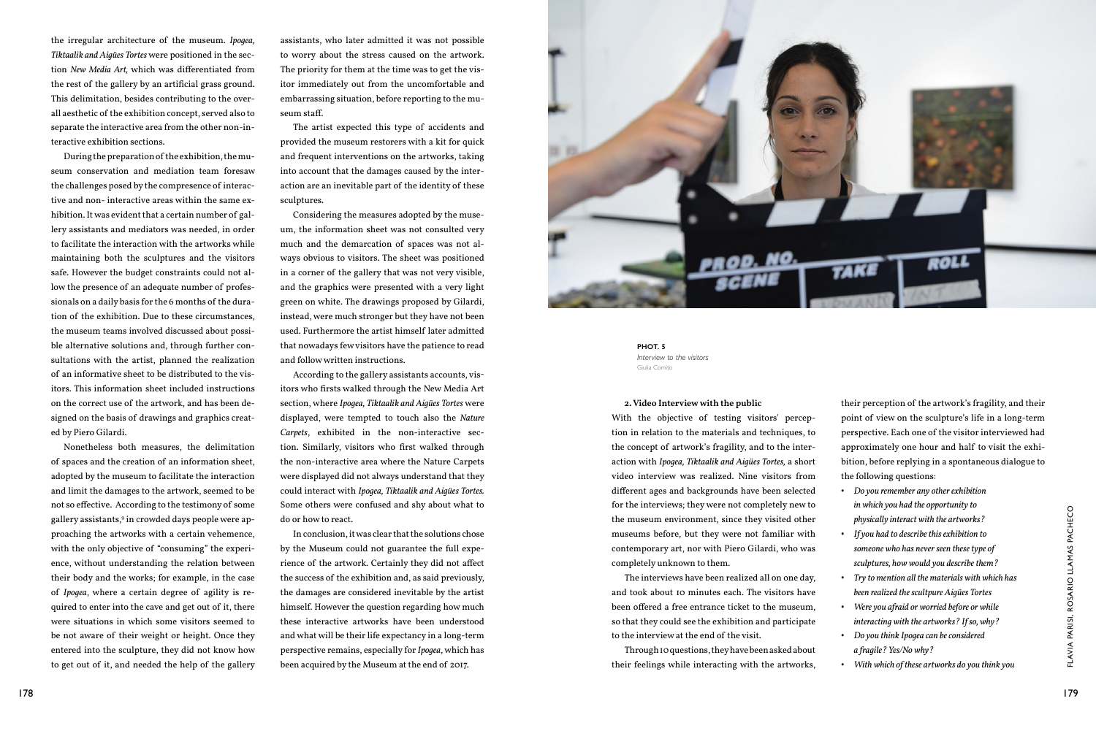the irregular architecture of the museum. *Ipogea, Tiktaalik and Aigües Tortes* were positioned in the section *New Media Art,* which was differentiated from the rest of the gallery by an artificial grass ground. This delimitation, besides contributing to the overall aesthetic of the exhibition concept, served also to separate the interactive area from the other non-interactive exhibition sections.

During the preparation of the exhibition, the museum conservation and mediation team foresaw the challenges posed by the compresence of interactive and non- interactive areas within the same exhibition. It was evident that a certain number of gallery assistants and mediators was needed, in order to facilitate the interaction with the artworks while maintaining both the sculptures and the visitors safe. However the budget constraints could not allow the presence of an adequate number of professionals on a daily basis for the 6 months of the duration of the exhibition. Due to these circumstances, the museum teams involved discussed about possible alternative solutions and, through further consultations with the artist, planned the realization of an informative sheet to be distributed to the visitors. This information sheet included instructions on the correct use of the artwork, and has been designed on the basis of drawings and graphics created by Piero Gilardi.

assistants, who later admitted it was not possible to worry about the stress caused on the artwork. The priority for them at the time was to get the visitor immediately out from the uncomfortable and embarrassing situation, before reporting to the museum staff.

The artist expected this type of accidents and provided the museum restorers with a kit for quick and frequent interventions on the artworks, taking into account that the damages caused by the interaction are an inevitable part of the identity of these sculptures.

Considering the measures adopted by the museum, the information sheet was not consulted very much and the demarcation of spaces was not always obvious to visitors. The sheet was positioned in a corner of the gallery that was not very visible, and the graphics were presented with a very light green on white. The drawings proposed by Gilardi, instead, were much stronger but they have not been used. Furthermore the artist himself later admitted that nowadays few visitors have the patience to read and follow written instructions.

| on the correct use of the artwork, and has been de-              | section, where Ipogea, Tiktaalik and Aigües Tortes were  | 2. Video Interview with the public                       | their perception of the artwork's fragility, and their |     |
|------------------------------------------------------------------|----------------------------------------------------------|----------------------------------------------------------|--------------------------------------------------------|-----|
| signed on the basis of drawings and graphics creat-              | displayed, were tempted to touch also the Nature         | With the objective of testing visitors' percep-          | point of view on the sculpture's life in a long-term   |     |
| ed by Piero Gilardi.                                             | Carpets, exhibited in the non-interactive sec-           | tion in relation to the materials and techniques, to     | perspective. Each one of the visitor interviewed had   |     |
| Nonetheless both measures, the delimitation                      | tion. Similarly, visitors who first walked through       | the concept of artwork's fragility, and to the inter-    | approximately one hour and half to visit the exhi-     |     |
| of spaces and the creation of an information sheet,              | the non-interactive area where the Nature Carpets        | action with Ipogea, Tiktaalik and Aigües Tortes, a short | bition, before replying in a spontaneous dialogue to   |     |
| adopted by the museum to facilitate the interaction              | were displayed did not always understand that they       | video interview was realized. Nine visitors from         | the following questions:                               |     |
| and limit the damages to the artwork, seemed to be               | could interact with Ipogea, Tiktaalik and Aigües Tortes. | different ages and backgrounds have been selected        | • Do you remember any other exhibition                 |     |
| not so effective. According to the testimony of some             | Some others were confused and shy about what to          | for the interviews; they were not completely new to      | in which you had the opportunity to                    |     |
| gallery assistants, <sup>9</sup> in crowded days people were ap- | do or how to react.                                      | the museum environment, since they visited other         | physically interact with the artworks?                 |     |
| proaching the artworks with a certain vehemence,                 | In conclusion, it was clear that the solutions chose     | museums before, but they were not familiar with          | • If you had to describe this exhibition to            |     |
| with the only objective of "consuming" the experi-               | by the Museum could not guarantee the full expe-         | contemporary art, nor with Piero Gilardi, who was        | someone who has never seen these type of               |     |
| ence, without understanding the relation between                 | rience of the artwork. Certainly they did not affect     | completely unknown to them.                              | sculptures, how would you describe them?               |     |
| their body and the works; for example, in the case               | the success of the exhibition and, as said previously,   | The interviews have been realized all on one day,        | • Try to mention all the materials with which has      |     |
| of Ipoqea, where a certain degree of agility is re-              | the damages are considered inevitable by the artist      | and took about 10 minutes each. The visitors have        | been realized the scultpure Aigües Tortes              |     |
| quired to enter into the cave and get out of it, there           | himself. However the question regarding how much         | been offered a free entrance ticket to the museum,       | • Were you afraid or worried before or while           |     |
| were situations in which some visitors seemed to                 | these interactive artworks have been understood          | so that they could see the exhibition and participate    | interacting with the artworks? If so, why?             |     |
| be not aware of their weight or height. Once they                | and what will be their life expectancy in a long-term    | to the interview at the end of the visit.                | • Do you think Ipogea can be considered                |     |
| entered into the sculpture, they did not know how                | perspective remains, especially for Ipogea, which has    | Through IO questions, they have been asked about         | a fragile? Yes/No why?                                 |     |
| to get out of it, and needed the help of the gallery             | been acquired by the Museum at the end of 2017.          | their feelings while interacting with the artworks,      | • With which of these artworks do you think you        |     |
| 178                                                              |                                                          |                                                          |                                                        | 179 |

According to the gallery assistants accounts, visitors who firsts walked through the New Media Art section, where *Ipogea, Tiktaalik and Aigües Tortes* were displayed, were tempted to touch also the *Nature Carpets*, exhibited in the non-interactive section. Similarly, visitors who first walked through the non-interactive area where the Nature Carpets were displayed did not always understand that they could interact with *Ipogea, Tiktaalik and Aigües Tortes.*  Some others were confused and shy about what to do or how to react.



### **2. Video Interview with the public**

**PHOT. 5** *Interview to the visitors*  Giulia Comito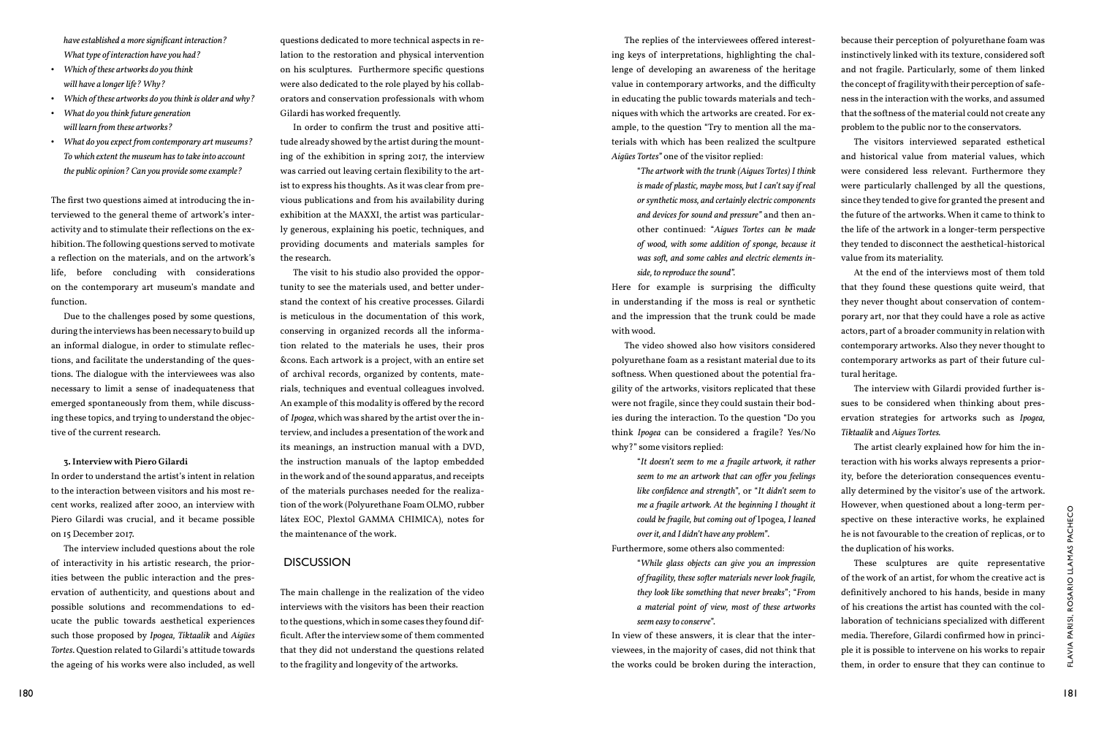*have established a more significant interaction? What type of interaction have you had?* 

- *Which of these artworks do you think will have a longer life? Why?*
- *Which of these artworks do you think is older and why?*
- *What do you think future generation will learn from these artworks?*
- *What do you expect from contemporary art museums? To which extent the museum has to take into account the public opinion? Can you provide some example?*

The first two questions aimed at introducing the interviewed to the general theme of artwork's interactivity and to stimulate their reflections on the exhibition. The following questions served to motivate a reflection on the materials, and on the artwork's life, before concluding with considerations on the contemporary art museum's mandate and function.

Due to the challenges posed by some questions, during the interviews has been necessary to build up an informal dialogue, in order to stimulate reflections, and facilitate the understanding of the questions. The dialogue with the interviewees was also necessary to limit a sense of inadequateness that emerged spontaneously from them, while discussing these topics, and trying to understand the objective of the current research.

### **3. Interview with Piero Gilardi**

In order to understand the artist's intent in relation to the interaction between visitors and his most recent works, realized after 2000, an interview with Piero Gilardi was crucial, and it became possible on 15 December 2017.

The interview included questions about the role of interactivity in his artistic research, the priorities between the public interaction and the preservation of authenticity, and questions about and possible solutions and recommendations to educate the public towards aesthetical experiences such those proposed by *Ipogea, Tiktaalik* and *Aigües Tortes*. Question related to Gilardi's attitude towards the ageing of his works were also included, as well

questions dedicated to more technical aspects in relation to the restoration and physical intervention on his sculptures. Furthermore specific questions were also dedicated to the role played by his collaborators and conservation professionals with whom Gilardi has worked frequently.

In order to confirm the trust and positive attitude already showed by the artist during the mounting of the exhibition in spring 2017, the interview was carried out leaving certain flexibility to the artist to express his thoughts. As it was clear from previous publications and from his availability during exhibition at the MAXXI, the artist was particularly generous, explaining his poetic, techniques, and providing documents and materials samples for the research.

The visit to his studio also provided the opportunity to see the materials used, and better understand the context of his creative processes. Gilardi is meticulous in the documentation of this work, conserving in organized records all the information related to the materials he uses, their pros &cons. Each artwork is a project, with an entire set of archival records, organized by contents, materials, techniques and eventual colleagues involved. An example of this modality is offered by the record of *Ipogea*, which was shared by the artist over the interview, and includes a presentation of the work and its meanings, an instruction manual with a DVD, the instruction manuals of the laptop embedded in the work and of the sound apparatus, and receipts of the materials purchases needed for the realization of the work (Polyurethane Foam OLMO, rubber látex EOC, Plextol GAMMA CHIMICA), notes for the maintenance of the work.

## DISCUSSION

The main challenge in the realization of the video interviews with the visitors has been their reaction to the questions, which in some cases they found difficult. After the interview some of them commented that they did not understand the questions related to the fragility and longevity of the artworks.

New Glardi was crucial, and it became possible latex EOC, Phetrol GAMMA CHIMCA), notes for could be paging that consignate of the vericle and the minitenance of the work.<br>
The interview including certains about the relat "*While glass objects can give you an impression of fragility, these softer materials never look fragile, they look like something that never breaks*"; "*From a material point of view, most of these artworks*  In view of these answers, it is clear that the interviewees, in the majority of cases, did not think that the works could be broken during the interaction, These sculptures are quite representative of the work of an artist, for whom the creative act is definitively anchored to his hands, beside in many of his creations the artist has counted with the collaboration of technicians specialized with different media. Therefore, Gilardi confirmed how in principle it is possible to intervene on his works to repair them, in order to ensure that they can continue to

The replies of the interviewees offered interesting keys of interpretations, highlighting the challenge of developing an awareness of the heritage value in contemporary artworks, and the difficulty in educating the public towards materials and techniques with which the artworks are created. For example, to the question "Try to mention all the materials with which has been realized the scultpure *Aigües Tortes"* one of the visitor replied: because their perception of polyurethane foam was instinctively linked with its texture, considered soft and not fragile. Particularly, some of them linked the concept of fragility with their perception of safeness in the interaction with the works, and assumed that the softness of the material could not create any problem to the public nor to the conservators. The visitors interviewed separated esthetical and historical value from material values, which

Furthermore, some others also commented:

"*The artwork with the trunk (Aigues Tortes) I think is made of plastic, maybe moss, but I can't say if real or synthetic moss, and certainly electric components and devices for sound and pressure"* and then another continued: "*Aigues Tortes can be made of wood, with some addition of sponge, because it was soft, and some cables and electric elements inside, to reproduce the sound".*  were considered less relevant. Furthermore they were particularly challenged by all the questions, since they tended to give for granted the present and the future of the artworks. When it came to think to the life of the artwork in a longer-term perspective they tended to disconnect the aesthetical-historical value from its materiality. At the end of the interviews most of them told

*seem easy to conserve*".

Here for example is surprising the difficulty in understanding if the moss is real or synthetic and the impression that the trunk could be made with wood. The video showed also how visitors considered polyurethane foam as a resistant material due to its softness. When questioned about the potential frathat they found these questions quite weird, that they never thought about conservation of contemporary art, nor that they could have a role as active actors, part of a broader community in relation with contemporary artworks. Also they never thought to contemporary artworks as part of their future cultural heritage.

gility of the artworks, visitors replicated that these were not fragile, since they could sustain their bodies during the interaction. To the question "Do you think *Ipogea* can be considered a fragile? Yes/No why?" some visitors replied: The interview with Gilardi provided further issues to be considered when thinking about preservation strategies for artworks such as *Ipogea, Tiktaalik* and *Aigues Tortes.* The artist clearly explained how for him the in-

"*It doesn't seem to me a fragile artwork, it rather seem to me an artwork that can offer you feelings like confidence and strength*", or "*It didn't seem to me a fragile artwork. At the beginning I thought it could be fragile, but coming out of* Ipogea*, I leaned over it, and I didn't have any problem"*. teraction with his works always represents a priority, before the deterioration consequences eventually determined by the visitor's use of the artwork. However, when questioned about a long-term perspective on these interactive works, he explained he is not favourable to the creation of replicas, or to the duplication of his works.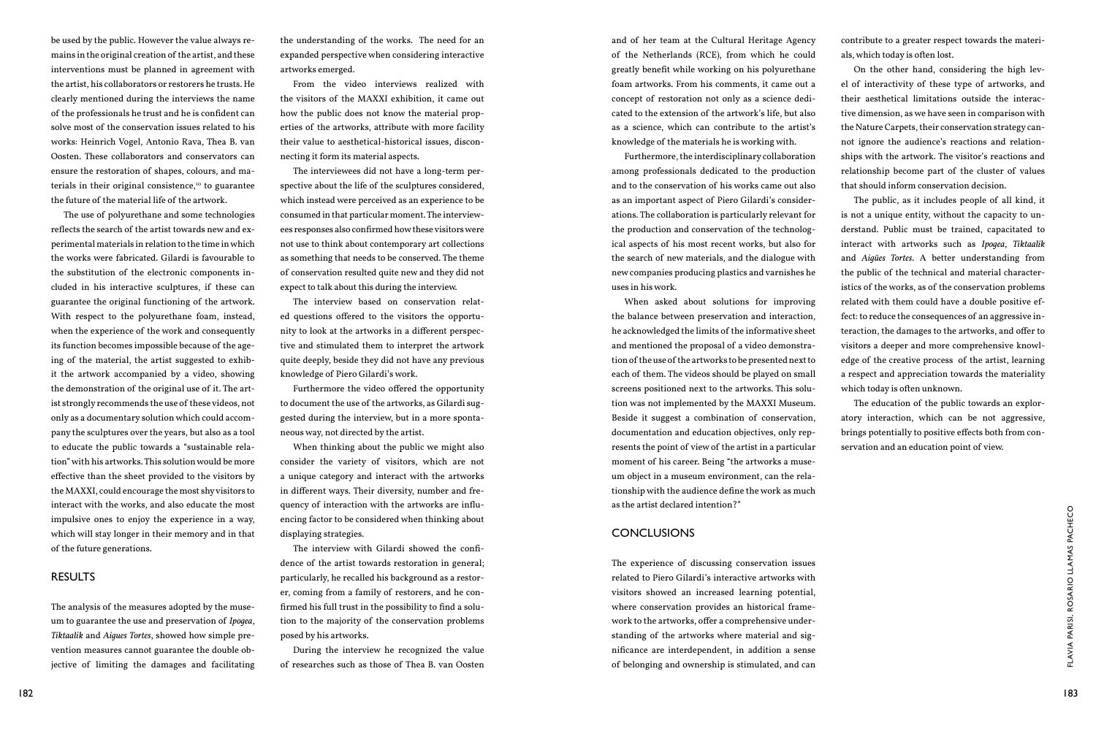be used by the public. However the value always remains in the original creation of the artist, and these interventions must be planned in agreement with the artist, his collaborators or restorers he trusts. He clearly mentioned during the interviews the name of the professionals he trust and he is confident can solve most of the conservation issues related to his works: Heinrich Vogel, Antonio Rava, Thea B. van Oosten. These collaborators and conservators can ensure the restoration of shapes, colours, and materials in their original consistence, $10$  to guarantee the future of the material life of the artwork.

The use of polyurethane and some technologies reflects the search of the artist towards new and experimental materials in relation to the time in which the works were fabricated. Gilardi is favourable to the substitution of the electronic components included in his interactive sculptures, if these can guarantee the original functioning of the artwork. With respect to the polyurethane foam, instead, when the experience of the work and consequently its function becomes impossible because of the ageing of the material, the artist suggested to exhibit the artwork accompanied by a video, showing the demonstration of the original use of it. The artist strongly recommends the use of these videos, not only as a documentary solution which could accompany the sculptures over the years, but also as a tool to educate the public towards a "sustainable relation" with his artworks. This solution would be more effective than the sheet provided to the visitors by the MAXXI, could encourage the most shy visitors to interact with the works, and also educate the most impulsive ones to enjoy the experience in a way, which will stay longer in their memory and in that of the future generations.

## RESULTS

The analysis of the measures adopted by the museum to guarantee the use and preservation of *Ipogea*, *Tiktaalik* and *Aigues Tortes*, showed how simple prevention measures cannot guarantee the double objective of limiting the damages and facilitating the understanding of the works. The need for an expanded perspective when considering interactive artworks emerged.

From the video interviews realized with the visitors of the MAXXI exhibition, it came out how the public does not know the material properties of the artworks, attribute with more facility their value to aesthetical-historical issues, disconnecting it form its material aspects.

The interviewees did not have a long-term perspective about the life of the sculptures considered, which instead were perceived as an experience to be consumed in that particular moment. The interviewees responses also confirmed how these visitors were not use to think about contemporary art collections as something that needs to be conserved. The theme of conservation resulted quite new and they did not expect to talk about this during the interview.

1823 Internative ones to enjoy the experience in a way,<br>
which will stay longer in their memory and in that<br>
of the fulture generations.<br>
The interview with Gilardi showed the confi-<br>
of the artist operator of the artist t The experience of discussing conservation issues related to Piero Gilardi's interactive artworks with visitors showed an increased learning potential, where conservation provides an historical framework to the artworks, offer a comprehensive understanding of the artworks where material and significance are interdependent, in addition a sense of belonging and ownership is stimulated, and can

- 
- 

The interview based on conservation related questions offered to the visitors the opportunity to look at the artworks in a different perspective and stimulated them to interpret the artwork quite deeply, beside they did not have any previous knowledge of Piero Gilardi's work.

Furthermore the video offered the opportunity to document the use of the artworks, as Gilardi suggested during the interview, but in a more spontaneous way, not directed by the artist.

When thinking about the public we might also consider the variety of visitors, which are not a unique category and interact with the artworks in different ways. Their diversity, number and frequency of interaction with the artworks are influencing factor to be considered when thinking about displaying strategies.

The interview with Gilardi showed the confidence of the artist towards restoration in general; particularly, he recalled his background as a restorer, coming from a family of restorers, and he confirmed his full trust in the possibility to find a solution to the majority of the conservation problems posed by his artworks.

During the interview he recognized the value of researches such as those of Thea B. van Oosten

and of her team at the Cultural Heritage Agency of the Netherlands (RCE), from which he could greatly benefit while working on his polyurethane foam artworks. From his comments, it came out a concept of restoration not only as a science dedicated to the extension of the artwork's life, but also as a science, which can contribute to the artist's knowledge of the materials he is working with. Furthermore, the interdisciplinary collaboration contribute to a greater respect towards the materials, which today is often lost. On the other hand, considering the high level of interactivity of these type of artworks, and their aesthetical limitations outside the interactive dimension, as we have seen in comparison with the Nature Carpets, their conservation strategy cannot ignore the audience's reactions and relationships with the artwork. The visitor's reactions and that should inform conservation decision.

## CONCLUSIONS

among professionals dedicated to the production and to the conservation of his works came out also as an important aspect of Piero Gilardi's considerations. The collaboration is particularly relevant for the production and conservation of the technological aspects of his most recent works, but also for the search of new materials, and the dialogue with new companies producing plastics and varnishes he uses in his work. When asked about solutions for improving the balance between preservation and interaction, he acknowledged the limits of the informative sheet and mentioned the proposal of a video demonstration of the use of the artworks to be presented next to each of them. The videos should be played on small screens positioned next to the artworks. This solurelationship become part of the cluster of values The public, as it includes people of all kind, it is not a unique entity, without the capacity to understand. Public must be trained, capacitated to interact with artworks such as *Ipogea*, *Tiktaalik*  and *Aigües Tortes*. A better understanding from the public of the technical and material characteristics of the works, as of the conservation problems related with them could have a double positive effect: to reduce the consequences of an aggressive interaction, the damages to the artworks, and offer to visitors a deeper and more comprehensive knowledge of the creative process of the artist, learning a respect and appreciation towards the materiality which today is often unknown.

tion was not implemented by the MAXXI Museum. Beside it suggest a combination of conservation, documentation and education objectives, only represents the point of view of the artist in a particular moment of his career. Being "the artworks a museum object in a museum environment, can the relationship with the audience define the work as much as the artist declared intention?" The education of the public towards an exploratory interaction, which can be not aggressive, brings potentially to positive effects both from conservation and an education point of view.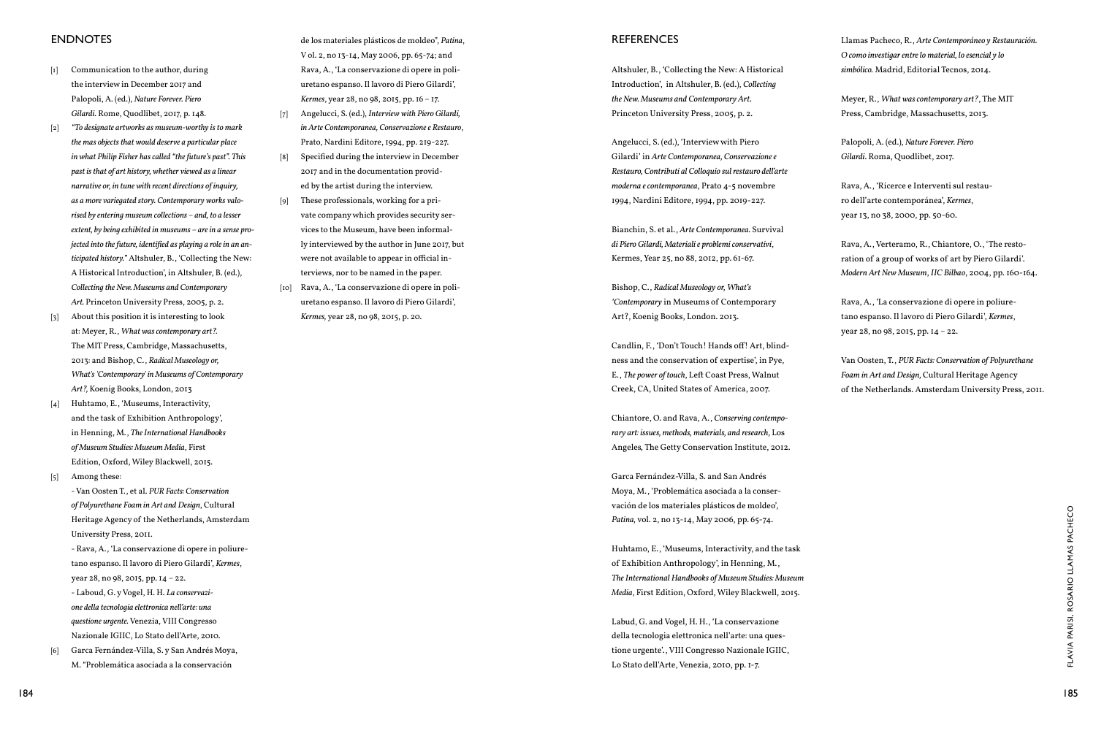# REFERENCES

Altshuler, B., 'Collecting the New: A Historical Introduction', in Altshuler, B. (ed.), *Collecting the New. Museums and Contemporary Art*. Princeton University Press, 2005, p. 2.

Angelucci, S. (ed.), 'Interview with Piero Gilardi' in *Arte Contemporanea, Conservazione e Restauro, Contributi al Colloquio sul restauro dell'arte moderna e contemporanea*, Prato 4-5 novembre 1994, Nardini Editore, 1994, pp. 2019-227.

Bianchin, S. et al., *Arte Contemporanea.* Survival *di Piero Gilardi, Materiali e problemi conservativi*, Kermes, Year 25, no 88, 2012, pp. 61-67.

Bishop, C., *Radical Museology or, What's 'Contemporary* in Museums of Contemporary Art?, Koenig Books, London. 2013.

Candlin, F., 'Don't Touch! Hands off! Art, blindness and the conservation of expertise', in Pye, E., *The power of touch*, Left Coast Press, Walnut Creek, CA, United States of America, 2007.

Chiantore, O. and Rava, A., *Conserving contemporary art: issues, methods, materials, and research,* Los Angeles*,* The Getty Conservation Institute, 2012.

Garca Fernández-Villa, S. and San Andrés Moya, M., 'Problemática asociada a la conservación de los materiales plásticos de moldeo', *Patina,* vol. 2, no 13-14, May 2006, pp. 65-74.

Huhtamo, E., 'Museums, Interactivity, and the task of Exhibition Anthropology', in Henning, M., *The International Handbooks of Museum Studies: Museum Media*, First Edition, Oxford, Wiley Blackwell, 2015.

Labud, G. and Vogel, H. H., 'La conservazione della tecnologia elettronica nell'arte: una questione urgente'., VIII Congresso Nazionale IGIIC, Lo Stato dell'Arte, Venezia, 2010, pp. 1-7.

Llamas Pacheco, R., *Arte Contemporáneo y Restauración. O como investigar entre lo material, lo esencial y lo simbólico.* Madrid, Editorial Tecnos, 2014.

Meyer, R., *What was contemporary art?*, The MIT Press, Cambridge, Massachusetts, 2013.

Palopoli, A. (ed.), *Nature Forever. Piero Gilardi*. Roma, Quodlibet, 2017.

Rava, A., 'Ricerce e Interventi sul restauro dell'arte contemporánea', *Kermes*, year 13, no 38, 2000, pp. 50-60.

Rava, A., Verteramo, R., Chiantore, O., 'The restoration of a group of works of art by Piero Gilardi'. *Modern Art New Museum*, *IIC Bilbao*, 2004, pp. 160-164.

11eringe Agency of the Neherlands, Amsterdam<br>
184 196 2001 (196 2-196 2-196 2-196 2-196 2-196 2-196 2-196 2-196 2-196 2-197 2-197 2-197 2-197 2-197 2-197 2-1<br>
184 186 2-197 2-198 2-198 2-198 2-198 2-198 2-198 2-198 2-198 2 - Rava, A., 'La conservazione di opere in poliuretano espanso. Il lavoro di Piero Gilardi', *Kermes*, year 28, no 98, 2015, pp. 14 – 22. - Laboud, G. y Vogel, H. H. *La conservazione della tecnologia elettronica nell'arte: una questione urgente.* Venezia, VIII Congresso

Rava, A., 'La conservazione di opere in poliuretano espanso. Il lavoro di Piero Gilardi', *Kermes*, year 28, no 98, 2015, pp. 14 – 22.

Van Oosten, T., *PUR Facts: Conservation of Polyurethane Foam in Art and Design,* Cultural Heritage Agency of the Netherlands. Amsterdam University Press, 2011.

# **ENDNOTES**

- [1] Communication to the author, during the interview in December 2017 and Palopoli, A. (ed.), *Nature Forever. Piero Gilardi*. Rome, Quodlibet, 2017, p. 148.
- [2] *"To designate artworks as museum-worthy is to mark the mas objects that would deserve a particular place in what Philip Fisher has called "the future's past". This past is that of art history, whether viewed as a linear narrative or, in tune with recent directions of inquiry, as a more variegated story. Contemporary works valorised by entering museum collections – and, to a lesser extent, by being exhibited in museums – are in a sense projected into the future, identified as playing a role in an anticipated history."* Altshuler, B., 'Collecting the New: A Historical Introduction', in Altshuler, B. (ed.), *Collecting the New. Museums and Contemporary Art.* Princeton University Press, 2005, p. 2.
- [3] About this position it is interesting to look at: Meyer, R., *What was contemporary art?.*  The MIT Press, Cambridge, Massachusetts, 2013: and Bishop, C., *Radical Museology or, What's 'Contemporary' in Museums of Contemporary Art?,* Koenig Books, London, 2013
- [4] Huhtamo, E., 'Museums, Interactivity, and the task of Exhibition Anthropology', in Henning, M., *The International Handbooks of Museum Studies: Museum Media*, First Edition, Oxford, Wiley Blackwell, 2015.
- [5] Among these: - Van Oosten T., et al. *PUR Facts: Conservation of Polyurethane Foam in Art and Design*, Cultural Heritage Agency of the Netherlands, Amsterdam University Press, 2011.

Nazionale IGIIC, Lo Stato dell'Arte, 2010. [6] Garca Fernández-Villa, S. y San Andrés Moya,

M. "Problemática asociada a la conservación

de los materiales plásticos de moldeo", *Patina*, V ol. 2, no 13-14, May 2006, pp. 65-74; and Rava, A., 'La conservazione di opere in poliuretano espanso. Il lavoro di Piero Gilardi', *Kermes*, year 28, no 98, 2015, pp. 16 – 17.

- [7] Angelucci, S. (ed.), *Interview with Piero Gilardi, in Arte Contemporanea, Conservazione e Restauro*, Prato, Nardini Editore, 1994, pp. 219-227.
- [8] Specified during the interview in December 2017 and in the documentation provided by the artist during the interview.
- [9] These professionals, working for a private company which provides security services to the Museum, have been informally interviewed by the author in June 2017, but were not available to appear in official interviews, nor to be named in the paper.
- [10] Rava, A., 'La conservazione di opere in poliuretano espanso. Il lavoro di Piero Gilardi', *Kermes,* year 28, no 98, 2015, p. 20.